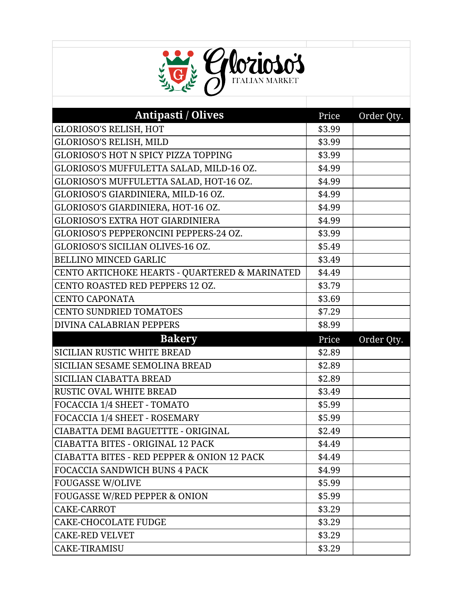

| <b>Antipasti / Olives</b>                              | Price  | Order Qty. |
|--------------------------------------------------------|--------|------------|
| <b>GLORIOSO'S RELISH, HOT</b>                          | \$3.99 |            |
| GLORIOSO'S RELISH, MILD                                | \$3.99 |            |
| <b>GLORIOSO'S HOT N SPICY PIZZA TOPPING</b>            | \$3.99 |            |
| GLORIOSO'S MUFFULETTA SALAD, MILD-16 OZ.               | \$4.99 |            |
| GLORIOSO'S MUFFULETTA SALAD, HOT-16 OZ.                | \$4.99 |            |
| GLORIOSO'S GIARDINIERA, MILD-16 OZ.                    | \$4.99 |            |
| GLORIOSO'S GIARDINIERA, HOT-16 OZ.                     | \$4.99 |            |
| <b>GLORIOSO'S EXTRA HOT GIARDINIERA</b>                | \$4.99 |            |
| GLORIOSO'S PEPPERONCINI PEPPERS-24 OZ.                 | \$3.99 |            |
| GLORIOSO'S SICILIAN OLIVES-16 OZ.                      | \$5.49 |            |
| <b>BELLINO MINCED GARLIC</b>                           | \$3.49 |            |
| CENTO ARTICHOKE HEARTS - QUARTERED & MARINATED         | \$4.49 |            |
| CENTO ROASTED RED PEPPERS 12 OZ.                       | \$3.79 |            |
| <b>CENTO CAPONATA</b>                                  | \$3.69 |            |
| <b>CENTO SUNDRIED TOMATOES</b>                         | \$7.29 |            |
| DIVINA CALABRIAN PEPPERS                               | \$8.99 |            |
|                                                        |        |            |
| <b>Bakery</b>                                          | Price  | Order Qty. |
| SICILIAN RUSTIC WHITE BREAD                            | \$2.89 |            |
| SICILIAN SESAME SEMOLINA BREAD                         | \$2.89 |            |
| SICILIAN CIABATTA BREAD                                | \$2.89 |            |
| <b>RUSTIC OVAL WHITE BREAD</b>                         | \$3.49 |            |
| FOCACCIA 1/4 SHEET - TOMATO                            | \$5.99 |            |
| FOCACCIA 1/4 SHEET - ROSEMARY                          | \$5.99 |            |
| CIABATTA DEMI BAGUETTTE - ORIGINAL                     | \$2.49 |            |
| <b>CIABATTA BITES - ORIGINAL 12 PACK</b>               | \$4.49 |            |
| <b>CIABATTA BITES - RED PEPPER &amp; ONION 12 PACK</b> | \$4.49 |            |
| <b>FOCACCIA SANDWICH BUNS 4 PACK</b>                   | \$4.99 |            |
| <b>FOUGASSE W/OLIVE</b>                                | \$5.99 |            |
| <b>FOUGASSE W/RED PEPPER &amp; ONION</b>               | \$5.99 |            |
| CAKE-CARROT                                            | \$3.29 |            |
| <b>CAKE-CHOCOLATE FUDGE</b>                            | \$3.29 |            |
| <b>CAKE-RED VELVET</b>                                 | \$3.29 |            |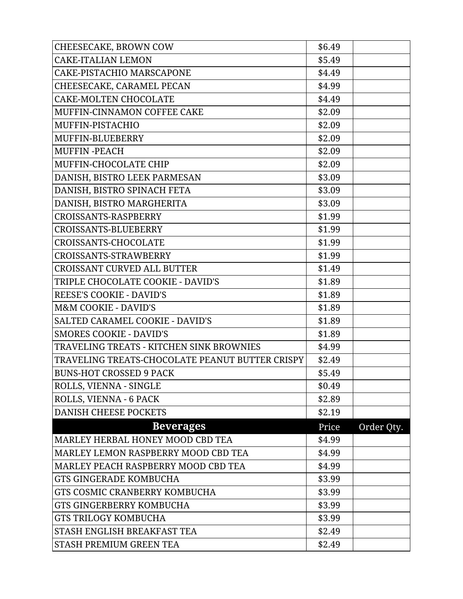| CHEESECAKE, BROWN COW                           | \$6.49 |            |
|-------------------------------------------------|--------|------------|
| <b>CAKE-ITALIAN LEMON</b>                       | \$5.49 |            |
| CAKE-PISTACHIO MARSCAPONE                       | \$4.49 |            |
| CHEESECAKE, CARAMEL PECAN                       | \$4.99 |            |
| <b>CAKE-MOLTEN CHOCOLATE</b>                    | \$4.49 |            |
| MUFFIN-CINNAMON COFFEE CAKE                     | \$2.09 |            |
| MUFFIN-PISTACHIO                                | \$2.09 |            |
| MUFFIN-BLUEBERRY                                | \$2.09 |            |
| <b>MUFFIN-PEACH</b>                             | \$2.09 |            |
| MUFFIN-CHOCOLATE CHIP                           | \$2.09 |            |
| DANISH, BISTRO LEEK PARMESAN                    | \$3.09 |            |
| DANISH, BISTRO SPINACH FETA                     | \$3.09 |            |
| DANISH, BISTRO MARGHERITA                       | \$3.09 |            |
| CROISSANTS-RASPBERRY                            | \$1.99 |            |
| CROISSANTS-BLUEBERRY                            | \$1.99 |            |
| CROISSANTS-CHOCOLATE                            | \$1.99 |            |
| CROISSANTS-STRAWBERRY                           | \$1.99 |            |
| <b>CROISSANT CURVED ALL BUTTER</b>              | \$1.49 |            |
| TRIPLE CHOCOLATE COOKIE - DAVID'S               | \$1.89 |            |
| <b>REESE'S COOKIE - DAVID'S</b>                 | \$1.89 |            |
| <b>M&amp;M COOKIE - DAVID'S</b>                 | \$1.89 |            |
| SALTED CARAMEL COOKIE - DAVID'S                 | \$1.89 |            |
| <b>SMORES COOKIE - DAVID'S</b>                  | \$1.89 |            |
| TRAVELING TREATS - KITCHEN SINK BROWNIES        | \$4.99 |            |
| TRAVELING TREATS-CHOCOLATE PEANUT BUTTER CRISPY | \$2.49 |            |
| <b>BUNS-HOT CROSSED 9 PACK</b>                  | \$5.49 |            |
| ROLLS, VIENNA - SINGLE                          | \$0.49 |            |
| ROLLS, VIENNA - 6 PACK                          | \$2.89 |            |
| <b>DANISH CHEESE POCKETS</b>                    | \$2.19 |            |
| <b>Beverages</b>                                | Price  | Order Qty. |
| MARLEY HERBAL HONEY MOOD CBD TEA                | \$4.99 |            |
| MARLEY LEMON RASPBERRY MOOD CBD TEA             | \$4.99 |            |
| MARLEY PEACH RASPBERRY MOOD CBD TEA             | \$4.99 |            |
| <b>GTS GINGERADE KOMBUCHA</b>                   | \$3.99 |            |
| GTS COSMIC CRANBERRY KOMBUCHA                   | \$3.99 |            |
| <b>GTS GINGERBERRY KOMBUCHA</b>                 | \$3.99 |            |
| <b>GTS TRILOGY KOMBUCHA</b>                     | \$3.99 |            |
| STASH ENGLISH BREAKFAST TEA                     | \$2.49 |            |
| STASH PREMIUM GREEN TEA                         | \$2.49 |            |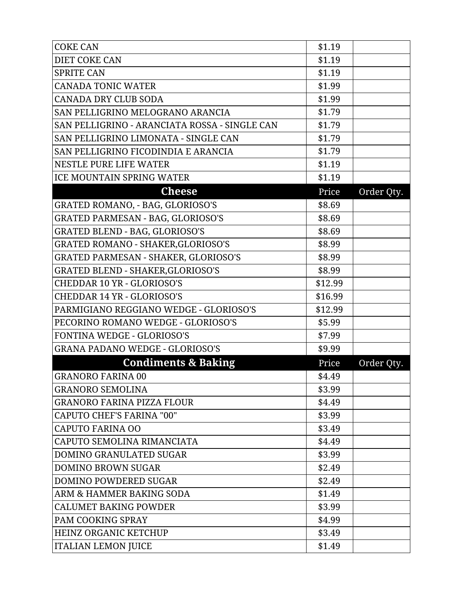| <b>COKE CAN</b>                               | \$1.19  |            |
|-----------------------------------------------|---------|------------|
| <b>DIET COKE CAN</b>                          | \$1.19  |            |
| <b>SPRITE CAN</b>                             | \$1.19  |            |
| <b>CANADA TONIC WATER</b>                     | \$1.99  |            |
| CANADA DRY CLUB SODA                          | \$1.99  |            |
| SAN PELLIGRINO MELOGRANO ARANCIA              | \$1.79  |            |
| SAN PELLIGRINO - ARANCIATA ROSSA - SINGLE CAN | \$1.79  |            |
| SAN PELLIGRINO LIMONATA - SINGLE CAN          | \$1.79  |            |
| SAN PELLIGRINO FICODINDIA E ARANCIA           | \$1.79  |            |
| NESTLE PURE LIFE WATER                        | \$1.19  |            |
| <b>ICE MOUNTAIN SPRING WATER</b>              | \$1.19  |            |
| <b>Cheese</b>                                 | Price   | Order Qty. |
| GRATED ROMANO, - BAG, GLORIOSO'S              | \$8.69  |            |
| <b>GRATED PARMESAN - BAG, GLORIOSO'S</b>      | \$8.69  |            |
| <b>GRATED BLEND - BAG, GLORIOSO'S</b>         | \$8.69  |            |
| <b>GRATED ROMANO - SHAKER, GLORIOSO'S</b>     | \$8.99  |            |
| <b>GRATED PARMESAN - SHAKER, GLORIOSO'S</b>   | \$8.99  |            |
| <b>GRATED BLEND - SHAKER, GLORIOSO'S</b>      | \$8.99  |            |
| <b>CHEDDAR 10 YR - GLORIOSO'S</b>             | \$12.99 |            |
| <b>CHEDDAR 14 YR - GLORIOSO'S</b>             | \$16.99 |            |
| PARMIGIANO REGGIANO WEDGE - GLORIOSO'S        | \$12.99 |            |
| PECORINO ROMANO WEDGE - GLORIOSO'S            | \$5.99  |            |
| FONTINA WEDGE - GLORIOSO'S                    | \$7.99  |            |
| <b>GRANA PADANO WEDGE - GLORIOSO'S</b>        | \$9.99  |            |
| <b>Condiments &amp; Baking</b>                | Price   | Order Qty. |
| <b>GRANORO FARINA 00</b>                      | \$4.49  |            |
| <b>GRANORO SEMOLINA</b>                       | \$3.99  |            |
| <b>GRANORO FARINA PIZZA FLOUR</b>             | \$4.49  |            |
| <b>CAPUTO CHEF'S FARINA "00"</b>              | \$3.99  |            |
| CAPUTO FARINA OO                              | \$3.49  |            |
| CAPUTO SEMOLINA RIMANCIATA                    | \$4.49  |            |
| DOMINO GRANULATED SUGAR                       | \$3.99  |            |
| <b>DOMINO BROWN SUGAR</b>                     | \$2.49  |            |
| <b>DOMINO POWDERED SUGAR</b>                  | \$2.49  |            |
| ARM & HAMMER BAKING SODA                      | \$1.49  |            |
| <b>CALUMET BAKING POWDER</b>                  | \$3.99  |            |
| PAM COOKING SPRAY                             | \$4.99  |            |
| HEINZ ORGANIC KETCHUP                         | \$3.49  |            |
| <b>ITALIAN LEMON JUICE</b>                    | \$1.49  |            |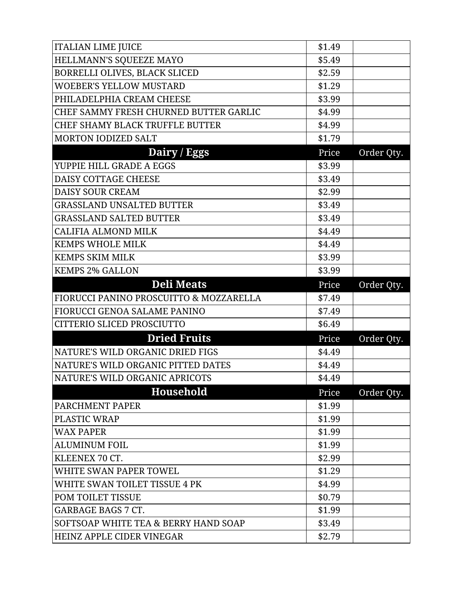| <b>ITALIAN LIME JUICE</b>                       | \$1.49 |            |
|-------------------------------------------------|--------|------------|
| HELLMANN'S SQUEEZE MAYO                         | \$5.49 |            |
| BORRELLI OLIVES, BLACK SLICED                   | \$2.59 |            |
| <b>WOEBER'S YELLOW MUSTARD</b>                  | \$1.29 |            |
| PHILADELPHIA CREAM CHEESE                       | \$3.99 |            |
| CHEF SAMMY FRESH CHURNED BUTTER GARLIC          | \$4.99 |            |
| CHEF SHAMY BLACK TRUFFLE BUTTER                 | \$4.99 |            |
| <b>MORTON IODIZED SALT</b>                      | \$1.79 |            |
| Dairy / Eggs                                    | Price  | Order Qty. |
| YUPPIE HILL GRADE A EGGS                        | \$3.99 |            |
| DAISY COTTAGE CHEESE                            | \$3.49 |            |
| <b>DAISY SOUR CREAM</b>                         | \$2.99 |            |
| <b>GRASSLAND UNSALTED BUTTER</b>                | \$3.49 |            |
| <b>GRASSLAND SALTED BUTTER</b>                  | \$3.49 |            |
| <b>CALIFIA ALMOND MILK</b>                      | \$4.49 |            |
| <b>KEMPS WHOLE MILK</b>                         | \$4.49 |            |
| <b>KEMPS SKIM MILK</b>                          | \$3.99 |            |
| <b>KEMPS 2% GALLON</b>                          | \$3.99 |            |
| <b>Deli Meats</b>                               | Price  | Order Qty. |
| FIORUCCI PANINO PROSCUITTO & MOZZARELLA         | \$7.49 |            |
| <b>FIORUCCI GENOA SALAME PANINO</b>             | \$7.49 |            |
| CITTERIO SLICED PROSCIUTTO                      | \$6.49 |            |
| <b>Dried Fruits</b>                             | Price  | Order Qty. |
| NATURE'S WILD ORGANIC DRIED FIGS                | \$4.49 |            |
| NATURE'S WILD ORGANIC PITTED DATES              | \$4.49 |            |
|                                                 |        |            |
| NATURE'S WILD ORGANIC APRICOTS                  | \$4.49 |            |
| <b>Household</b>                                | Price  | Order Qty. |
| <b>PARCHMENT PAPER</b>                          | \$1.99 |            |
| PLASTIC WRAP                                    | \$1.99 |            |
| <b>WAX PAPER</b>                                | \$1.99 |            |
| <b>ALUMINUM FOIL</b>                            | \$1.99 |            |
| KLEENEX 70 CT.                                  | \$2.99 |            |
| WHITE SWAN PAPER TOWEL                          | \$1.29 |            |
| WHITE SWAN TOILET TISSUE 4 PK                   | \$4.99 |            |
| POM TOILET TISSUE                               | \$0.79 |            |
| <b>GARBAGE BAGS 7 CT.</b>                       | \$1.99 |            |
| <b>SOFTSOAP WHITE TEA &amp; BERRY HAND SOAP</b> | \$3.49 |            |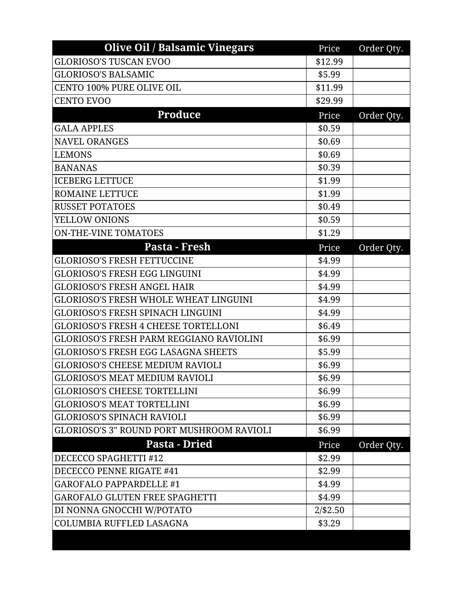| <b>GLORIOSO'S TUSCAN EVOO</b><br>\$12.99<br>\$5.99<br><b>CENTO 100% PURE OLIVE OIL</b><br>\$11.99<br><b>CENTO EVOO</b><br>\$29.99<br><b>Produce</b><br>Price<br>Order Qty.<br>\$0.59<br><b>NAVEL ORANGES</b><br>\$0.69<br>\$0.69<br>\$0.39<br>\$1.99<br>\$1.99<br>\$0.49<br>\$0.59<br><b>ON-THE-VINE TOMATOES</b><br>\$1.29<br>Pasta - Fresh<br>Price<br>Order Qty.<br><b>GLORIOSO'S FRESH FETTUCCINE</b><br>\$4.99<br><b>GLORIOSO'S FRESH EGG LINGUINI</b><br>\$4.99<br><b>GLORIOSO'S FRESH ANGEL HAIR</b><br>\$4.99<br><b>GLORIOSO'S FRESH WHOLE WHEAT LINGUINI</b><br>\$4.99<br><b>GLORIOSO'S FRESH SPINACH LINGUINI</b><br>\$4.99<br><b>GLORIOSO'S FRESH 4 CHEESE TORTELLONI</b><br>\$6.49<br><b>GLORIOSO'S FRESH PARM REGGIANO RAVIOLINI</b><br>\$6.99<br><b>GLORIOSO'S FRESH EGG LASAGNA SHEETS</b><br>\$5.99<br>\$6.99<br>\$6.99<br>\$6.99<br>\$6.99<br>\$6.99<br>GLORIOSO'S 3" ROUND PORT MUSHROOM RAVIOLI<br>\$6.99<br>Pasta - Dried<br>Price<br>Order Qty.<br>\$2.99<br>\$2.99<br>\$4.99<br>\$4.99<br>$2/$ \$2.50<br>\$3.29 | <b>Olive Oil / Balsamic Vinegars</b>    | Price | Order Qty. |
|---------------------------------------------------------------------------------------------------------------------------------------------------------------------------------------------------------------------------------------------------------------------------------------------------------------------------------------------------------------------------------------------------------------------------------------------------------------------------------------------------------------------------------------------------------------------------------------------------------------------------------------------------------------------------------------------------------------------------------------------------------------------------------------------------------------------------------------------------------------------------------------------------------------------------------------------------------------------------------------------------------------------------------------|-----------------------------------------|-------|------------|
|                                                                                                                                                                                                                                                                                                                                                                                                                                                                                                                                                                                                                                                                                                                                                                                                                                                                                                                                                                                                                                       |                                         |       |            |
|                                                                                                                                                                                                                                                                                                                                                                                                                                                                                                                                                                                                                                                                                                                                                                                                                                                                                                                                                                                                                                       | <b>GLORIOSO'S BALSAMIC</b>              |       |            |
|                                                                                                                                                                                                                                                                                                                                                                                                                                                                                                                                                                                                                                                                                                                                                                                                                                                                                                                                                                                                                                       |                                         |       |            |
|                                                                                                                                                                                                                                                                                                                                                                                                                                                                                                                                                                                                                                                                                                                                                                                                                                                                                                                                                                                                                                       |                                         |       |            |
|                                                                                                                                                                                                                                                                                                                                                                                                                                                                                                                                                                                                                                                                                                                                                                                                                                                                                                                                                                                                                                       |                                         |       |            |
|                                                                                                                                                                                                                                                                                                                                                                                                                                                                                                                                                                                                                                                                                                                                                                                                                                                                                                                                                                                                                                       | <b>GALA APPLES</b>                      |       |            |
|                                                                                                                                                                                                                                                                                                                                                                                                                                                                                                                                                                                                                                                                                                                                                                                                                                                                                                                                                                                                                                       |                                         |       |            |
|                                                                                                                                                                                                                                                                                                                                                                                                                                                                                                                                                                                                                                                                                                                                                                                                                                                                                                                                                                                                                                       | <b>LEMONS</b>                           |       |            |
|                                                                                                                                                                                                                                                                                                                                                                                                                                                                                                                                                                                                                                                                                                                                                                                                                                                                                                                                                                                                                                       | <b>BANANAS</b>                          |       |            |
|                                                                                                                                                                                                                                                                                                                                                                                                                                                                                                                                                                                                                                                                                                                                                                                                                                                                                                                                                                                                                                       | <b>ICEBERG LETTUCE</b>                  |       |            |
|                                                                                                                                                                                                                                                                                                                                                                                                                                                                                                                                                                                                                                                                                                                                                                                                                                                                                                                                                                                                                                       | <b>ROMAINE LETTUCE</b>                  |       |            |
|                                                                                                                                                                                                                                                                                                                                                                                                                                                                                                                                                                                                                                                                                                                                                                                                                                                                                                                                                                                                                                       | <b>RUSSET POTATOES</b>                  |       |            |
|                                                                                                                                                                                                                                                                                                                                                                                                                                                                                                                                                                                                                                                                                                                                                                                                                                                                                                                                                                                                                                       | YELLOW ONIONS                           |       |            |
|                                                                                                                                                                                                                                                                                                                                                                                                                                                                                                                                                                                                                                                                                                                                                                                                                                                                                                                                                                                                                                       |                                         |       |            |
|                                                                                                                                                                                                                                                                                                                                                                                                                                                                                                                                                                                                                                                                                                                                                                                                                                                                                                                                                                                                                                       |                                         |       |            |
|                                                                                                                                                                                                                                                                                                                                                                                                                                                                                                                                                                                                                                                                                                                                                                                                                                                                                                                                                                                                                                       |                                         |       |            |
|                                                                                                                                                                                                                                                                                                                                                                                                                                                                                                                                                                                                                                                                                                                                                                                                                                                                                                                                                                                                                                       |                                         |       |            |
|                                                                                                                                                                                                                                                                                                                                                                                                                                                                                                                                                                                                                                                                                                                                                                                                                                                                                                                                                                                                                                       |                                         |       |            |
|                                                                                                                                                                                                                                                                                                                                                                                                                                                                                                                                                                                                                                                                                                                                                                                                                                                                                                                                                                                                                                       |                                         |       |            |
|                                                                                                                                                                                                                                                                                                                                                                                                                                                                                                                                                                                                                                                                                                                                                                                                                                                                                                                                                                                                                                       |                                         |       |            |
|                                                                                                                                                                                                                                                                                                                                                                                                                                                                                                                                                                                                                                                                                                                                                                                                                                                                                                                                                                                                                                       |                                         |       |            |
|                                                                                                                                                                                                                                                                                                                                                                                                                                                                                                                                                                                                                                                                                                                                                                                                                                                                                                                                                                                                                                       |                                         |       |            |
|                                                                                                                                                                                                                                                                                                                                                                                                                                                                                                                                                                                                                                                                                                                                                                                                                                                                                                                                                                                                                                       |                                         |       |            |
|                                                                                                                                                                                                                                                                                                                                                                                                                                                                                                                                                                                                                                                                                                                                                                                                                                                                                                                                                                                                                                       | <b>GLORIOSO'S CHEESE MEDIUM RAVIOLI</b> |       |            |
|                                                                                                                                                                                                                                                                                                                                                                                                                                                                                                                                                                                                                                                                                                                                                                                                                                                                                                                                                                                                                                       | <b>GLORIOSO'S MEAT MEDIUM RAVIOLI</b>   |       |            |
|                                                                                                                                                                                                                                                                                                                                                                                                                                                                                                                                                                                                                                                                                                                                                                                                                                                                                                                                                                                                                                       | <b>GLORIOSO'S CHEESE TORTELLINI</b>     |       |            |
|                                                                                                                                                                                                                                                                                                                                                                                                                                                                                                                                                                                                                                                                                                                                                                                                                                                                                                                                                                                                                                       | <b>GLORIOSO'S MEAT TORTELLINI</b>       |       |            |
|                                                                                                                                                                                                                                                                                                                                                                                                                                                                                                                                                                                                                                                                                                                                                                                                                                                                                                                                                                                                                                       | <b>GLORIOSO'S SPINACH RAVIOLI</b>       |       |            |
|                                                                                                                                                                                                                                                                                                                                                                                                                                                                                                                                                                                                                                                                                                                                                                                                                                                                                                                                                                                                                                       |                                         |       |            |
|                                                                                                                                                                                                                                                                                                                                                                                                                                                                                                                                                                                                                                                                                                                                                                                                                                                                                                                                                                                                                                       |                                         |       |            |
|                                                                                                                                                                                                                                                                                                                                                                                                                                                                                                                                                                                                                                                                                                                                                                                                                                                                                                                                                                                                                                       | DECECCO SPAGHETTI #12                   |       |            |
|                                                                                                                                                                                                                                                                                                                                                                                                                                                                                                                                                                                                                                                                                                                                                                                                                                                                                                                                                                                                                                       | DECECCO PENNE RIGATE #41                |       |            |
|                                                                                                                                                                                                                                                                                                                                                                                                                                                                                                                                                                                                                                                                                                                                                                                                                                                                                                                                                                                                                                       | <b>GAROFALO PAPPARDELLE #1</b>          |       |            |
|                                                                                                                                                                                                                                                                                                                                                                                                                                                                                                                                                                                                                                                                                                                                                                                                                                                                                                                                                                                                                                       | <b>GAROFALO GLUTEN FREE SPAGHETTI</b>   |       |            |
|                                                                                                                                                                                                                                                                                                                                                                                                                                                                                                                                                                                                                                                                                                                                                                                                                                                                                                                                                                                                                                       | DI NONNA GNOCCHI W/POTATO               |       |            |
|                                                                                                                                                                                                                                                                                                                                                                                                                                                                                                                                                                                                                                                                                                                                                                                                                                                                                                                                                                                                                                       | COLUMBIA RUFFLED LASAGNA                |       |            |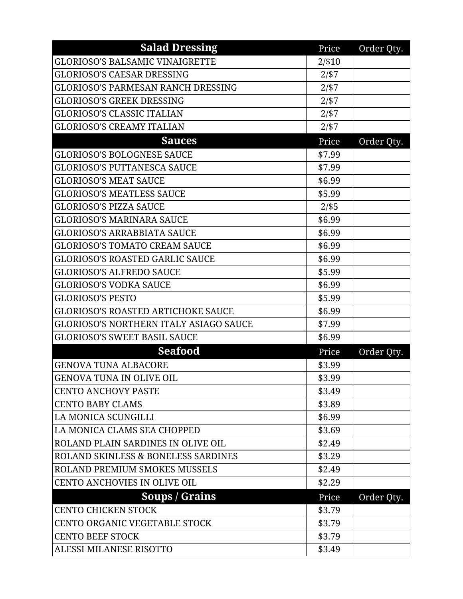| <b>Salad Dressing</b>                          | Price     | Order Qty. |
|------------------------------------------------|-----------|------------|
| <b>GLORIOSO'S BALSAMIC VINAIGRETTE</b>         | $2/$ \$10 |            |
| <b>GLORIOSO'S CAESAR DRESSING</b>              | 2/157     |            |
| <b>GLORIOSO'S PARMESAN RANCH DRESSING</b>      | 2/57      |            |
| <b>GLORIOSO'S GREEK DRESSING</b>               | $2/$ \$7  |            |
| <b>GLORIOSO'S CLASSIC ITALIAN</b>              | 2/57      |            |
| <b>GLORIOSO'S CREAMY ITALIAN</b>               | 2/ \$7    |            |
| <b>Sauces</b>                                  | Price     | Order Qty. |
| <b>GLORIOSO'S BOLOGNESE SAUCE</b>              | \$7.99    |            |
| <b>GLORIOSO'S PUTTANESCA SAUCE</b>             | \$7.99    |            |
| <b>GLORIOSO'S MEAT SAUCE</b>                   | \$6.99    |            |
| <b>GLORIOSO'S MEATLESS SAUCE</b>               | \$5.99    |            |
| <b>GLORIOSO'S PIZZA SAUCE</b>                  | $2/$ \$5  |            |
| <b>GLORIOSO'S MARINARA SAUCE</b>               | \$6.99    |            |
| <b>GLORIOSO'S ARRABBIATA SAUCE</b>             | \$6.99    |            |
| <b>GLORIOSO'S TOMATO CREAM SAUCE</b>           | \$6.99    |            |
| <b>GLORIOSO'S ROASTED GARLIC SAUCE</b>         | \$6.99    |            |
| <b>GLORIOSO'S ALFREDO SAUCE</b>                | \$5.99    |            |
| <b>GLORIOSO'S VODKA SAUCE</b>                  | \$6.99    |            |
| <b>GLORIOSO'S PESTO</b>                        | \$5.99    |            |
| <b>GLORIOSO'S ROASTED ARTICHOKE SAUCE</b>      | \$6.99    |            |
| <b>GLORIOSO'S NORTHERN ITALY ASIAGO SAUCE</b>  | \$7.99    |            |
| <b>GLORIOSO'S SWEET BASIL SAUCE</b>            | \$6.99    |            |
| <b>Seafood</b>                                 | Price     | Order Qty. |
| <b>GENOVA TUNA ALBACORE</b>                    | \$3.99    |            |
| <b>GENOVA TUNA IN OLIVE OIL</b>                | \$3.99    |            |
| CENTO ANCHOVY PASTE                            | \$3.49    |            |
| <b>CENTO BABY CLAMS</b>                        | \$3.89    |            |
| LA MONICA SCUNGILLI                            | \$6.99    |            |
| LA MONICA CLAMS SEA CHOPPED                    | \$3.69    |            |
| <b>ROLAND PLAIN SARDINES IN OLIVE OIL</b>      | \$2.49    |            |
| <b>ROLAND SKINLESS &amp; BONELESS SARDINES</b> | \$3.29    |            |
| <b>ROLAND PREMIUM SMOKES MUSSELS</b>           | \$2.49    |            |
| <b>CENTO ANCHOVIES IN OLIVE OIL</b>            | \$2.29    |            |
| Soups / Grains                                 | Price     | Order Qty. |
| <b>CENTO CHICKEN STOCK</b>                     | \$3.79    |            |
| CENTO ORGANIC VEGETABLE STOCK                  | \$3.79    |            |
| <b>CENTO BEEF STOCK</b>                        | \$3.79    |            |
| ALESSI MILANESE RISOTTO                        | \$3.49    |            |
|                                                |           |            |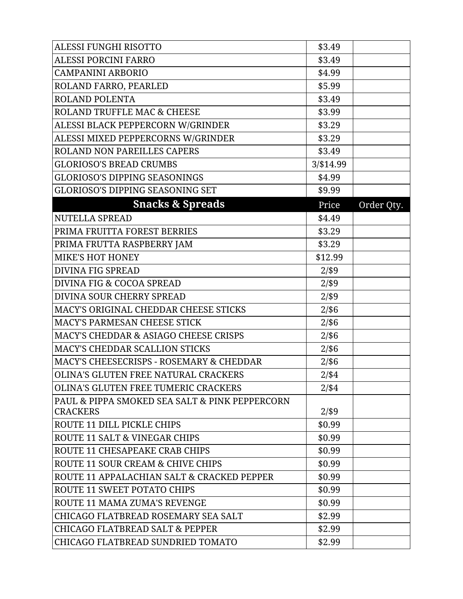| <b>ALESSI FUNGHI RISOTTO</b>                     | \$3.49    |            |
|--------------------------------------------------|-----------|------------|
| <b>ALESSI PORCINI FARRO</b>                      | \$3.49    |            |
| <b>CAMPANINI ARBORIO</b>                         | \$4.99    |            |
| ROLAND FARRO, PEARLED                            | \$5.99    |            |
| <b>ROLAND POLENTA</b>                            | \$3.49    |            |
| <b>ROLAND TRUFFLE MAC &amp; CHEESE</b>           | \$3.99    |            |
| ALESSI BLACK PEPPERCORN W/GRINDER                | \$3.29    |            |
| ALESSI MIXED PEPPERCORNS W/GRINDER               | \$3.29    |            |
| <b>ROLAND NON PAREILLES CAPERS</b>               | \$3.49    |            |
| <b>GLORIOSO'S BREAD CRUMBS</b>                   | 3/\$14.99 |            |
| <b>GLORIOSO'S DIPPING SEASONINGS</b>             | \$4.99    |            |
| <b>GLORIOSO'S DIPPING SEASONING SET</b>          | \$9.99    |            |
| <b>Snacks &amp; Spreads</b>                      | Price     | Order Qty. |
| <b>NUTELLA SPREAD</b>                            | \$4.49    |            |
| PRIMA FRUITTA FOREST BERRIES                     | \$3.29    |            |
| PRIMA FRUTTA RASPBERRY JAM                       | \$3.29    |            |
| <b>MIKE'S HOT HONEY</b>                          | \$12.99   |            |
| <b>DIVINA FIG SPREAD</b>                         | $2/$ \$9  |            |
| <b>DIVINA FIG &amp; COCOA SPREAD</b>             | $2/$ \$9  |            |
| <b>DIVINA SOUR CHERRY SPREAD</b>                 | $2/$ \$9  |            |
| MACY'S ORIGINAL CHEDDAR CHEESE STICKS            | $2/$ \$6  |            |
| MACY'S PARMESAN CHEESE STICK                     | $2/$ \$6  |            |
| <b>MACY'S CHEDDAR &amp; ASIAGO CHEESE CRISPS</b> | $2/$ \$6  |            |
| <b>MACY'S CHEDDAR SCALLION STICKS</b>            | $2/$ \$6  |            |
| MACY'S CHEESECRISPS - ROSEMARY & CHEDDAR         | $2/$ \$6  |            |
| OLINA'S GLUTEN FREE NATURAL CRACKERS             | $2/$ \$4  |            |
| <b>OLINA'S GLUTEN FREE TUMERIC CRACKERS</b>      | $2/$ \$4  |            |
| PAUL & PIPPA SMOKED SEA SALT & PINK PEPPERCORN   |           |            |
| <b>CRACKERS</b>                                  | $2/$ \$9  |            |
| <b>ROUTE 11 DILL PICKLE CHIPS</b>                | \$0.99    |            |
| ROUTE 11 SALT & VINEGAR CHIPS                    | \$0.99    |            |
| ROUTE 11 CHESAPEAKE CRAB CHIPS                   | \$0.99    |            |
| ROUTE 11 SOUR CREAM & CHIVE CHIPS                | \$0.99    |            |
| ROUTE 11 APPALACHIAN SALT & CRACKED PEPPER       | \$0.99    |            |
| <b>ROUTE 11 SWEET POTATO CHIPS</b>               | \$0.99    |            |
| <b>ROUTE 11 MAMA ZUMA'S REVENGE</b>              | \$0.99    |            |
| CHICAGO FLATBREAD ROSEMARY SEA SALT              | \$2.99    |            |
| <b>CHICAGO FLATBREAD SALT &amp; PEPPER</b>       | \$2.99    |            |
| CHICAGO FLATBREAD SUNDRIED TOMATO                | \$2.99    |            |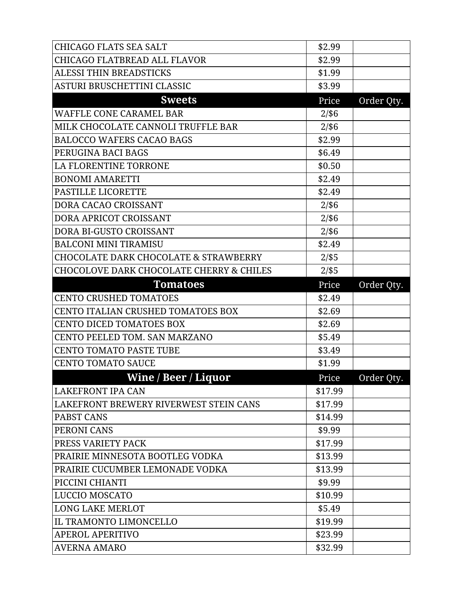| <b>CHICAGO FLATS SEA SALT</b>                       | \$2.99   |            |
|-----------------------------------------------------|----------|------------|
| CHICAGO FLATBREAD ALL FLAVOR                        | \$2.99   |            |
| <b>ALESSI THIN BREADSTICKS</b>                      | \$1.99   |            |
| ASTURI BRUSCHETTINI CLASSIC                         | \$3.99   |            |
| <b>Sweets</b>                                       | Price    | Order Qty. |
| <b>WAFFLE CONE CARAMEL BAR</b>                      | $2/$ \$6 |            |
| MILK CHOCOLATE CANNOLI TRUFFLE BAR                  | $2/$ \$6 |            |
| <b>BALOCCO WAFERS CACAO BAGS</b>                    | \$2.99   |            |
| PERUGINA BACI BAGS                                  | \$6.49   |            |
| <b>LA FLORENTINE TORRONE</b>                        | \$0.50   |            |
| <b>BONOMI AMARETTI</b>                              | \$2.49   |            |
| <b>PASTILLE LICORETTE</b>                           | \$2.49   |            |
| DORA CACAO CROISSANT                                | $2/$ \$6 |            |
| DORA APRICOT CROISSANT                              | $2/$ \$6 |            |
| DORA BI-GUSTO CROISSANT                             | $2/$ \$6 |            |
| <b>BALCONI MINI TIRAMISU</b>                        | \$2.49   |            |
| <b>CHOCOLATE DARK CHOCOLATE &amp; STRAWBERRY</b>    | $2/$ \$5 |            |
| <b>CHOCOLOVE DARK CHOCOLATE CHERRY &amp; CHILES</b> | $2/$ \$5 |            |
| <b>Tomatoes</b>                                     | Price    | Order Qty. |
|                                                     |          |            |
| <b>CENTO CRUSHED TOMATOES</b>                       | \$2.49   |            |
| CENTO ITALIAN CRUSHED TOMATOES BOX                  | \$2.69   |            |
| <b>CENTO DICED TOMATOES BOX</b>                     | \$2.69   |            |
| CENTO PEELED TOM. SAN MARZANO                       | \$5.49   |            |
| <b>CENTO TOMATO PASTE TUBE</b>                      | \$3.49   |            |
| <b>CENTO TOMATO SAUCE</b>                           | \$1.99   |            |
| <b>Wine / Beer / Liquor</b>                         | Price    | Order Qty. |
|                                                     | \$17.99  |            |
| LAKEFRONT BREWERY RIVERWEST STEIN CANS              | \$17.99  |            |
| LAKEFRONT IPA CAN<br><b>PABST CANS</b>              | \$14.99  |            |
| PERONI CANS                                         | \$9.99   |            |
| PRESS VARIETY PACK                                  | \$17.99  |            |
| PRAIRIE MINNESOTA BOOTLEG VODKA                     | \$13.99  |            |
| PRAIRIE CUCUMBER LEMONADE VODKA                     | \$13.99  |            |
| PICCINI CHIANTI                                     | \$9.99   |            |
|                                                     | \$10.99  |            |
| LUCCIO MOSCATO<br><b>LONG LAKE MERLOT</b>           | \$5.49   |            |
| IL TRAMONTO LIMONCELLO                              | \$19.99  |            |
| <b>APEROL APERITIVO</b>                             | \$23.99  |            |